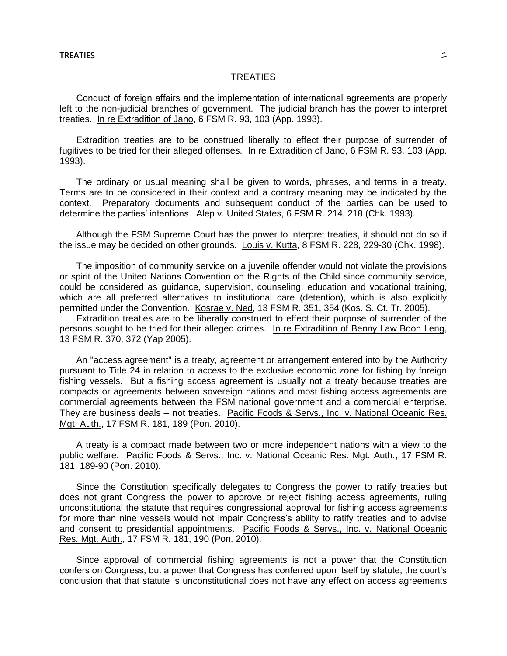## **TREATIES**  $\qquad \qquad \qquad \blacksquare$

## TREATIES

Conduct of foreign affairs and the implementation of international agreements are properly left to the non-judicial branches of government. The judicial branch has the power to interpret treaties. In re Extradition of Jano, 6 FSM R. 93, 103 (App. 1993).

Extradition treaties are to be construed liberally to effect their purpose of surrender of fugitives to be tried for their alleged offenses. In re Extradition of Jano, 6 FSM R. 93, 103 (App. 1993).

The ordinary or usual meaning shall be given to words, phrases, and terms in a treaty. Terms are to be considered in their context and a contrary meaning may be indicated by the context. Preparatory documents and subsequent conduct of the parties can be used to determine the parties' intentions. Alep v. United States, 6 FSM R. 214, 218 (Chk. 1993).

Although the FSM Supreme Court has the power to interpret treaties, it should not do so if the issue may be decided on other grounds. Louis v. Kutta, 8 FSM R. 228, 229-30 (Chk. 1998).

The imposition of community service on a juvenile offender would not violate the provisions or spirit of the United Nations Convention on the Rights of the Child since community service, could be considered as guidance, supervision, counseling, education and vocational training, which are all preferred alternatives to institutional care (detention), which is also explicitly permitted under the Convention. Kosrae v. Ned, 13 FSM R. 351, 354 (Kos. S. Ct. Tr. 2005).

Extradition treaties are to be liberally construed to effect their purpose of surrender of the persons sought to be tried for their alleged crimes. In re Extradition of Benny Law Boon Leng, 13 FSM R. 370, 372 (Yap 2005).

An "access agreement" is a treaty, agreement or arrangement entered into by the Authority pursuant to Title 24 in relation to access to the exclusive economic zone for fishing by foreign fishing vessels. But a fishing access agreement is usually not a treaty because treaties are compacts or agreements between sovereign nations and most fishing access agreements are commercial agreements between the FSM national government and a commercial enterprise. They are business deals — not treaties. Pacific Foods & Servs., Inc. v. National Oceanic Res. Mgt. Auth., 17 FSM R. 181, 189 (Pon. 2010).

A treaty is a compact made between two or more independent nations with a view to the public welfare. Pacific Foods & Servs., Inc. v. National Oceanic Res. Mgt. Auth., 17 FSM R. 181, 189-90 (Pon. 2010).

Since the Constitution specifically delegates to Congress the power to ratify treaties but does not grant Congress the power to approve or reject fishing access agreements, ruling unconstitutional the statute that requires congressional approval for fishing access agreements for more than nine vessels would not impair Congress's ability to ratify treaties and to advise and consent to presidential appointments. Pacific Foods & Servs., Inc. v. National Oceanic Res. Mgt. Auth., 17 FSM R. 181, 190 (Pon. 2010).

Since approval of commercial fishing agreements is not a power that the Constitution confers on Congress, but a power that Congress has conferred upon itself by statute, the court's conclusion that that statute is unconstitutional does not have any effect on access agreements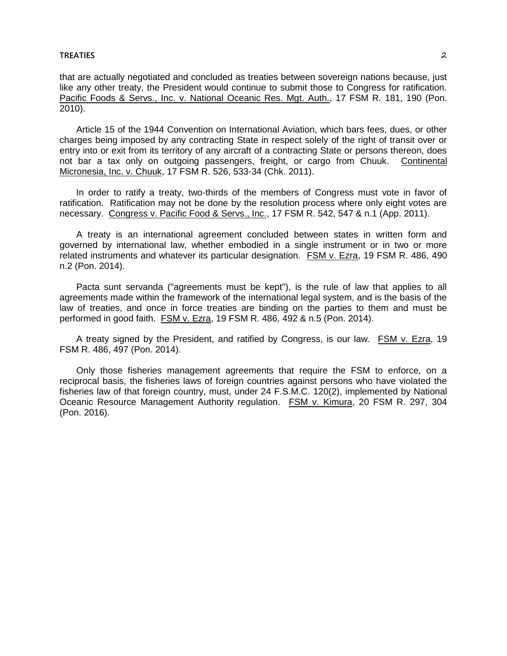## **TREATIES** 2

that are actually negotiated and concluded as treaties between sovereign nations because, just like any other treaty, the President would continue to submit those to Congress for ratification. Pacific Foods & Servs., Inc. v. National Oceanic Res. Mgt. Auth., 17 FSM R. 181, 190 (Pon. 2010).

Article 15 of the 1944 Convention on International Aviation, which bars fees, dues, or other charges being imposed by any contracting State in respect solely of the right of transit over or entry into or exit from its territory of any aircraft of a contracting State or persons thereon, does not bar a tax only on outgoing passengers, freight, or cargo from Chuuk. Continental Micronesia, Inc. v. Chuuk, 17 FSM R. 526, 533-34 (Chk. 2011).

In order to ratify a treaty, two-thirds of the members of Congress must vote in favor of ratification. Ratification may not be done by the resolution process where only eight votes are necessary. Congress v. Pacific Food & Servs., Inc., 17 FSM R. 542, 547 & n.1 (App. 2011).

A treaty is an international agreement concluded between states in written form and governed by international law, whether embodied in a single instrument or in two or more related instruments and whatever its particular designation. FSM v. Ezra, 19 FSM R. 486, 490 n.2 (Pon. 2014).

Pacta sunt servanda ("agreements must be kept"), is the rule of law that applies to all agreements made within the framework of the international legal system, and is the basis of the law of treaties, and once in force treaties are binding on the parties to them and must be performed in good faith. FSM v. Ezra, 19 FSM R. 486, 492 & n.5 (Pon. 2014).

A treaty signed by the President, and ratified by Congress, is our law. FSM v. Ezra, 19 FSM R. 486, 497 (Pon. 2014).

Only those fisheries management agreements that require the FSM to enforce, on a reciprocal basis, the fisheries laws of foreign countries against persons who have violated the fisheries law of that foreign country, must, under 24 F.S.M.C. 120(2), implemented by National Oceanic Resource Management Authority regulation. FSM v. Kimura, 20 FSM R. 297, 304 (Pon. 2016).